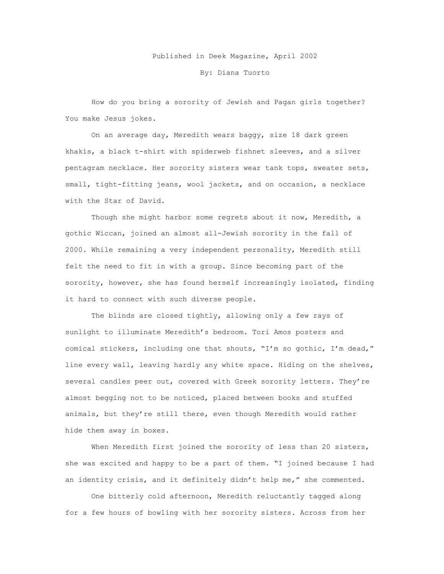## Published in Deek Magazine, April 2002

By: Diana Tuorto

How do you bring a sorority of Jewish and Pagan girls together? You make Jesus jokes.

On an average day, Meredith wears baggy, size 18 dark green khakis, a black t-shirt with spiderweb fishnet sleeves, and a silver pentagram necklace. Her sorority sisters wear tank tops, sweater sets, small, tight-fitting jeans, wool jackets, and on occasion, a necklace with the Star of David.

Though she might harbor some regrets about it now, Meredith, a gothic Wiccan, joined an almost all-Jewish sorority in the fall of 2000. While remaining a very independent personality, Meredith still felt the need to fit in with a group. Since becoming part of the sorority, however, she has found herself increasingly isolated, finding it hard to connect with such diverse people.

The blinds are closed tightly, allowing only a few rays of sunlight to illuminate Meredith's bedroom. Tori Amos posters and comical stickers, including one that shouts, "I'm so gothic, I'm dead," line every wall, leaving hardly any white space. Hiding on the shelves, several candles peer out, covered with Greek sorority letters. They're almost begging not to be noticed, placed between books and stuffed animals, but they're still there, even though Meredith would rather hide them away in boxes.

When Meredith first joined the sorority of less than 20 sisters, she was excited and happy to be a part of them. "I joined because I had an identity crisis, and it definitely didn't help me," she commented.

One bitterly cold afternoon, Meredith reluctantly tagged along for a few hours of bowling with her sorority sisters. Across from her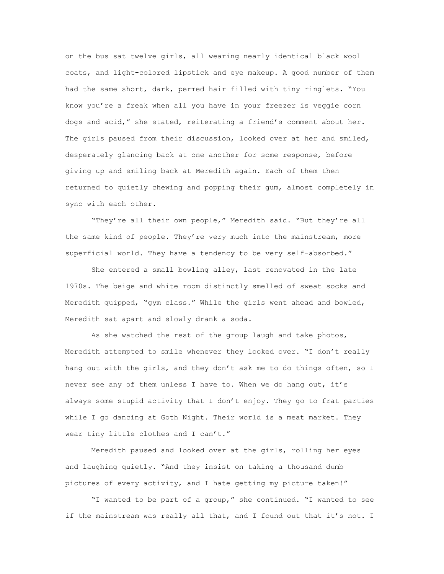on the bus sat twelve girls, all wearing nearly identical black wool coats, and light-colored lipstick and eye makeup. A good number of them had the same short, dark, permed hair filled with tiny ringlets. "You know you're a freak when all you have in your freezer is veggie corn dogs and acid," she stated, reiterating a friend's comment about her. The girls paused from their discussion, looked over at her and smiled, desperately glancing back at one another for some response, before giving up and smiling back at Meredith again. Each of them then returned to quietly chewing and popping their gum, almost completely in sync with each other.

"They're all their own people," Meredith said. "But they're all the same kind of people. They're very much into the mainstream, more superficial world. They have a tendency to be very self-absorbed."

She entered a small bowling alley, last renovated in the late 1970s. The beige and white room distinctly smelled of sweat socks and Meredith quipped, "gym class." While the girls went ahead and bowled, Meredith sat apart and slowly drank a soda.

As she watched the rest of the group laugh and take photos, Meredith attempted to smile whenever they looked over. "I don't really hang out with the girls, and they don't ask me to do things often, so I never see any of them unless I have to. When we do hang out, it's always some stupid activity that I don't enjoy. They go to frat parties while I go dancing at Goth Night. Their world is a meat market. They wear tiny little clothes and I can't."

Meredith paused and looked over at the girls, rolling her eyes and laughing quietly. "And they insist on taking a thousand dumb pictures of every activity, and I hate getting my picture taken!"

"I wanted to be part of a group," she continued. "I wanted to see if the mainstream was really all that, and I found out that it's not. I